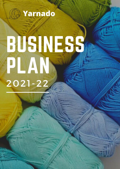

# BUSINESS<sup>2</sup> PLAN 2021-22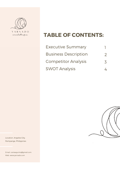

crochetrific.

## **TABLE OF CONTENTS:**

| <b>Executive Summary</b>    |                          |
|-----------------------------|--------------------------|
| <b>Business Description</b> | $\mathcal{P}$            |
| <b>Competitor Analysis</b>  | $\overline{\mathcal{S}}$ |
| <b>SWOT Analysis</b>        |                          |

Location. Angeles City, Pampanga, Philippines

Email. carissaguintu@gmail.com Web. www.yarnado.com



 $\sim$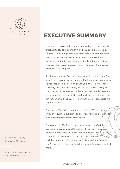

crochetrific.

## **EXECUTIVE SUMMARY**

Yarnado is a business dedicated to providing the best quality crochet stuffed toys to children and adults alike, created by Carissa Guintu, a high school student with a passion for crafts. . Each crochet item is hand-crafted with love and care and is further evaluated to guarantee only the best for our customers. Like our vision statements say, we aim "to create high-quality products for a low price."

As of now, there are five main designs, which are: a cow, a frog, a turtle, a dinosaur, and an octopus. Each pattern is made with velvet chenille yarn, a soft and fluffy yarn that is perfect for cuddling. They are all relatively small, the smallest being the cow, only as big as a palm. On the other hand, the biggest one is the octopus that can still fit in a hand, but its tentacles might get in the way. As the business grows, the selection choice will expand as well.

The market Yarnado is targeting is children. We can get sales through focusing advertising to parents and people looking for gifts. By giving customers more options

Our products differ from others because each stuffed toy comes with a special card that shows their name, likes, and hobbies. Some cards will have special messages that will "tell a secret" to the buyer. This can create a bond between the child and the stuffed toy. By creating exclusivity with the "special card", it will also encourage children to want to buy and collect more.

Location. Angeles City, Pampanga, Philippines

Email. carissaguintu@gmail.com Web. www.yarnado.com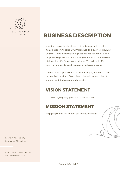

#### crochetrific.

## **BUSINESS DESCRIPTION**

Yarndao is an online business that makes and sells crochet items based in Angeles City, Philippines. This business is run by Carissa Guintu, a student in high school, constituted as a sole proprietorship. Yarnado acknowledges the want for affordable, high-quality gifts for people of all ages. Yarnado will offer a variety of choices to suit the needs of different people.

The business hopes to keep customers happy and keep them buying their products. To achieve this goal, Yarnado plans to keep an updated catalog to choose from.

#### **VISION STATEMENT**

To create high-quality products for a low price.

#### **MISSION STATEMENT**

Help people find the perfect gift for any occasion.



Email. carissaguintu@gmail.com Web. www.yarnado.com

PAGE 2 OUT OF 4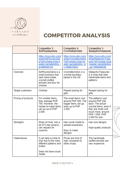

#### **COMPETITOR ANALYSIS**

|                     | Competitor 1-<br>SoftToysbyDaria                                                                                        | Competitor 2-<br>Crochetbyhollyk                                                                               | Competitor 3-<br>SleepyfoxTreasures                                                                                                                               |
|---------------------|-------------------------------------------------------------------------------------------------------------------------|----------------------------------------------------------------------------------------------------------------|-------------------------------------------------------------------------------------------------------------------------------------------------------------------|
|                     | https://www.etsy.com/<br>shop/SoftToysbyDari<br>a?ref=simple-shop-h<br>eader-name&listing<br>d=999500103                | https://www.etsy.com/<br>shop/Crochetbyhollyk<br>?ref=simple-shop-he<br>ader-name&listing id<br>$= 1099576453$ | https://www.etsy.com/<br>shop/SleepyfoxTreas<br>ures?ref=simple-shop<br>-header-name&listing<br>id=1068406544                                                     |
| Overview            | SoftToysbyDaria is a<br>small business that<br>sells hand-made,<br>crochet stuffed<br>animals and toys for<br>children. | Crochetbyhollyk is a<br>crochet business<br>based in the UK.                                                   | SleepyfoxTreasures<br>is a shop that sells<br>handmade items and<br>patterns.                                                                                     |
| Target customers    | Children                                                                                                                | People looking for<br>gifts                                                                                    | People looking for<br>gifts                                                                                                                                       |
| Pricing of products | For smaller items,<br>they average PHP<br>700. However, the<br>harder-to-make items<br>can go up to PHP<br>2.000.       | The small items cost<br>around PHP 500. The<br>bigger items can go<br>even up to PHP<br>3,000.                 | The patterns cost<br>around PHP 200<br>each. The actual<br>crochet items, even if<br>they are small cost<br>much more, around<br>PHP 1,000- PHP<br>2,000 for one. |
| Strengths           | Ships on time, has a<br>lot of 5-star reviews.<br>can request for<br>customs.                                           | Has social media to<br>spread awareness.<br>Easy to make<br>designs                                            | Has nice designs<br>High-quality products                                                                                                                         |
| Weaknesses          | It can take a while to<br>ship due to the many<br>different patterns and<br>orders.<br>Does not have social<br>media.   | Prices are kind of<br>high compared to<br>other shops.                                                         | The handmade<br>stuffed animals are<br>very expensive.                                                                                                            |